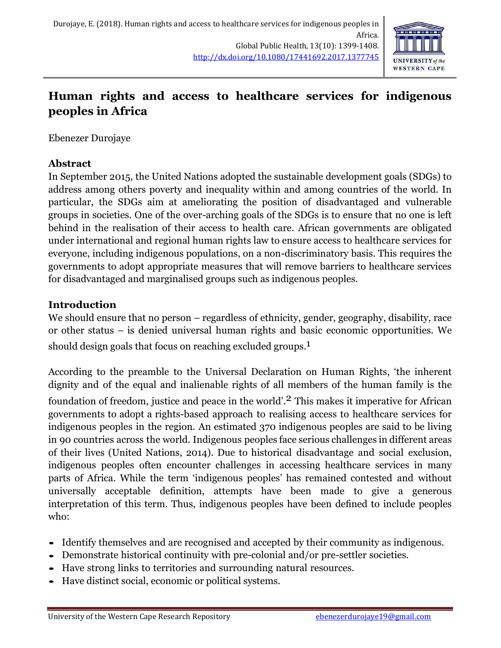

# **Human rights and access to healthcare services for indigenous peoples in Africa**

Ebenezer Durojaye

# **Abstract**

In September 2015, the United Nations adopted the sustainable development goals (SDGs) to address among others poverty and inequality within and among countries of the world. In particular, the SDGs aim at ameliorating the position of disadvantaged and vulnerable groups in societies. One of the over-arching goals of the SDGs is to ensure that no one is left behind in the realisation of their access to health care. African governments are obligated under international and regional human rights law to ensure access to healthcare services for everyone, including indigenous populations, on a non-discriminatory basis. This requires the governments to adopt appropriate measures that will remove barriers to healthcare services for disadvantaged and marginalised groups such as indigenous peoples.

# **Introduction**

We should ensure that no person – regardless of ethnicity, gender, geography, disability, race or other status – is denied universal human rights and basic economic opportunities. We should design goals that focus on reaching excluded groups.<sup>1</sup>

According to the preamble to the Universal Declaration on Human Rights, 'the inherent dignity and of the equal and inalienable rights of all members of the human family is the foundation of freedom, justice and peace in the world'.<sup>2</sup> This makes it imperative for African governments to adopt a rights-based approach to realising access to healthcare services for indigenous peoples in the region. An estimated 370 indigenous peoples are said to be living in 90 countries across the world. Indigenous peoples face serious challenges in different areas of their lives (United Nations, 2014). Due to historical disadvantage and social exclusion, indigenous peoples often encounter challenges in accessing healthcare services in many parts of Africa. While the term 'indigenous peoples' has remained contested and without universally acceptable definition, attempts have been made to give a generous interpretation of this term. Thus, indigenous peoples have been defined to include peoples who:

- Identify themselves and are recognised and accepted by their community as indigenous.
- Demonstrate historical continuity with pre-colonial and/or pre-settler societies.
- Have strong links to territories and surrounding natural resources.
- Have distinct social, economic or political systems.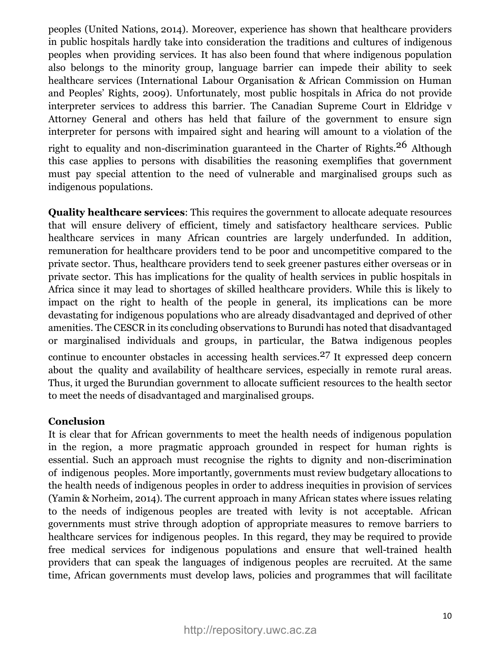peoples (United Nations, 2014). Moreover, experience has shown that healthcare providers in public hospitals hardly take into consideration the traditions and cultures of indigenous peoples when providing services. It has also been found that where indigenous population also belongs to the minority group, language barrier can impede their ability to seek healthcare services (International Labour Organisation & African Commission on Human and Peoples' Rights, 2009). Unfortunately, most public hospitals in Africa do not provide interpreter services to address this barrier. The Canadian Supreme Court in Eldridge v Attorney General and others has held that failure of the government to ensure sign interpreter for persons with impaired sight and hearing will amount to a violation of the

right to equality and non-discrimination guaranteed in the Charter of Rights.<sup>26</sup> Although this case applies to persons with disabilities the reasoning exemplifies that government must pay special attention to the need of vulnerable and marginalised groups such as indigenous populations.

**Quality healthcare services**: This requires the government to allocate adequate resources that will ensure delivery of efficient, timely and satisfactory healthcare services. Public healthcare services in many African countries are largely underfunded. In addition, remuneration for healthcare providers tend to be poor and uncompetitive compared to the private sector. Thus, healthcare providers tend to seek greener pastures either overseas or in private sector. This has implications for the quality of health services in public hospitals in Africa since it may lead to shortages of skilled healthcare providers. While this is likely to impact on the right to health of the people in general, its implications can be more devastating for indigenous populations who are already disadvantaged and deprived of other amenities. The CESCR in its concluding observations to Burundi has noted that disadvantaged or marginalised individuals and groups, in particular, the Batwa indigenous peoples continue to encounter obstacles in accessing health services. 27 It expressed deep concern about the quality and availability of healthcare services, especially in remote rural areas. Thus, it urged the Burundian government to allocate sufficient resources to the health sector to meet the needs of disadvantaged and marginalised groups.

#### **Conclusion**

It is clear that for African governments to meet the health needs of indigenous population in the region, a more pragmatic approach grounded in respect for human rights is essential. Such an approach must recognise the rights to dignity and non-discrimination of indigenous peoples. More importantly, governments must review budgetary allocations to the health needs of indigenous peoples in order to address inequities in provision of services (Yamin & Norheim, 2014). The current approach in many African states where issues relating to the needs of indigenous peoples are treated with levity is not acceptable. African governments must strive through adoption of appropriate measures to remove barriers to healthcare services for indigenous peoples. In this regard, they may be required to provide free medical services for indigenous populations and ensure that well-trained health providers that can speak the languages of indigenous peoples are recruited. At the same time, African governments must develop laws, policies and programmes that will facilitate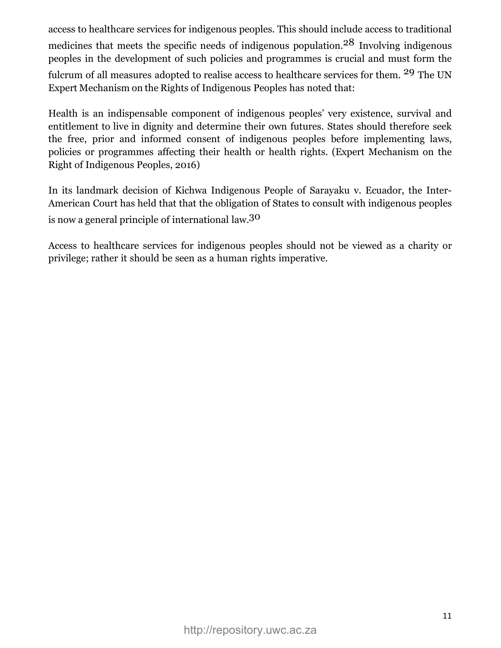access to healthcare services for indigenous peoples. This should include access to traditional medicines that meets the specific needs of indigenous population.<sup>28</sup> Involving indigenous peoples in the development of such policies and programmes is crucial and must form the fulcrum of all measures adopted to realise access to healthcare services for them. 29 The UN Expert Mechanism on the Rights of Indigenous Peoples has noted that:

Health is an indispensable component of indigenous peoples' very existence, survival and entitlement to live in dignity and determine their own futures. States should therefore seek the free, prior and informed consent of indigenous peoples before implementing laws, policies or programmes affecting their health or health rights. (Expert Mechanism on the Right of Indigenous Peoples, 2016)

In its landmark decision of Kichwa Indigenous People of Sarayaku v. Ecuador, the Inter-American Court has held that that the obligation of States to consult with indigenous peoples is now a general principle of international law.30

Access to healthcare services for indigenous peoples should not be viewed as a charity or privilege; rather it should be seen as a human rights imperative.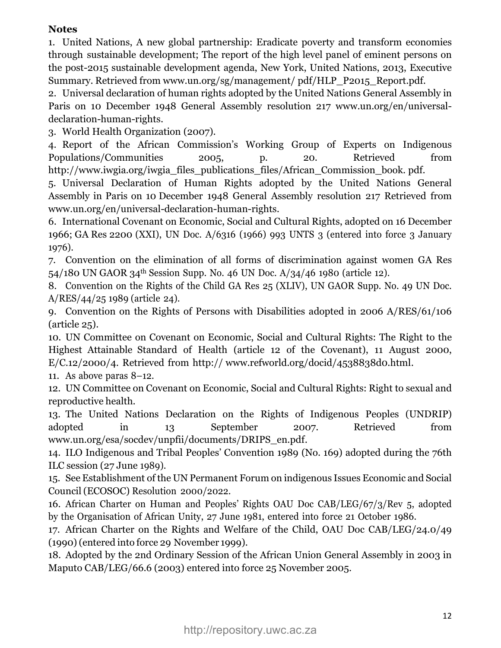# **Notes**

1. United Nations, A new global partnership: Eradicate poverty and transform economies through sustainable development; The report of the high level panel of eminent persons on the post-2015 sustainable development agenda, New York, United Nations, 2013, Executive Summary. Retrieved from [www.un.org/sg/management/](http://www.un.org/sg/management/pdf/HLP_P2015_Report.pdf) [pdf/HLP\\_P2015\\_Report.pdf.](http://www.un.org/sg/management/pdf/HLP_P2015_Report.pdf)

2. Universal declaration of human rights adopted by the United Nations General Assembly in Paris on 10 December 1948 General Assembly resolution 217 [www.un.org/en/universal](http://www.un.org/en/universal-declaration-human-rights)[declaration-human-rights.](http://www.un.org/en/universal-declaration-human-rights)

3. World Health Organization (2007).

4. Report of the African Commission's Working Group of Experts on Indigenous Populations/Communities 2005, p. 20. Retrieved from [http://www.iwgia.org/iwgia\\_files\\_publications\\_files/African\\_Commission\\_book.](http://www.iwgia.org/iwgia_files_publications_files/African_Commission_book.pdf) [pdf.](http://www.iwgia.org/iwgia_files_publications_files/African_Commission_book.pdf)

5. Universal Declaration of Human Rights adopted by the United Nations General Assembly in Paris on 10 December 1948 General Assembly resolution 217 Retrieved from [www.un.org/en/universal-declaration-human-rights.](http://www.un.org/en/universal-declaration-human-rights)

6. International Covenant on Economic, Social and Cultural Rights, adopted on 16 December 1966; GA Res 2200 (XXI), UN Doc. A/6316 (1966) 993 UNTS 3 (entered into force 3 January 1976).

7. Convention on the elimination of all forms of discrimination against women GA Res 54/180 UN GAOR 34th Session Supp. No. 46 UN Doc. A/34/46 1980 (article 12).

8. Convention on the Rights of the Child GA Res 25 (XLIV), UN GAOR Supp. No. 49 UN Doc. A/RES/44/25 1989 (article 24).

9. Convention on the Rights of Persons with Disabilities adopted in 2006 A/RES/61/106 (article 25).

10. UN Committee on Covenant on Economic, Social and Cultural Rights: The Right to the Highest Attainable Standard of Health (article 12 of the Covenant), 11 August 2000, E/C.12/2000/4. Retrieved from [http://](http://www.refworld.org/docid/4538838d0.html) [www.refworld.org/docid/4538838d0.html.](http://www.refworld.org/docid/4538838d0.html)

11. As above paras 8–12.

12. UN Committee on Covenant on Economic, Social and Cultural Rights: Right to sexual and reproductive health.

13. The United Nations Declaration on the Rights of Indigenous Peoples (UNDRIP) adopted in 13 September 2007. Retrieved from [www.un.org/esa/socdev/unpfii/documents/DRIPS\\_en.pdf.](http://www.un.org/esa/socdev/unpfii/documents/DRIPS_en.pdf)

14. ILO Indigenous and Tribal Peoples' Convention 1989 (No. 169) adopted during the 76th ILC session (27 June 1989).

15. See Establishment of the UN Permanent Forum on indigenous Issues Economic and Social Council (ECOSOC) Resolution 2000/2022.

16. African Charter on Human and Peoples' Rights OAU Doc CAB/LEG/67/3/Rev 5, adopted by the Organisation of African Unity, 27 June 1981, entered into force 21 October 1986.

17. African Charter on the Rights and Welfare of the Child, OAU Doc CAB/LEG/24.0/49 (1990) (entered into force 29 November 1999).

18. Adopted by the 2nd Ordinary Session of the African Union General Assembly in 2003 in Maputo CAB/LEG/66.6 (2003) entered into force 25 November 2005.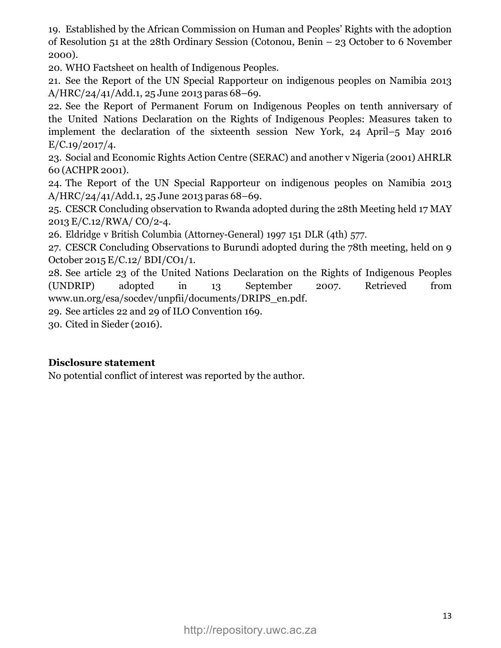19. Established by the African Commission on Human and Peoples' Rights with the adoption of Resolution 51 at the 28th Ordinary Session (Cotonou, Benin – 23 October to 6 November 2000).

20. WHO Factsheet on health of Indigenous Peoples.

21. See the Report of the UN Special Rapporteur on indigenous peoples on Namibia 2013 A/HRC/24/41/Add.1, 25 June 2013 paras 68–69.

22. See the Report of Permanent Forum on Indigenous Peoples on tenth anniversary of the United Nations Declaration on the Rights of Indigenous Peoples: Measures taken to implement the declaration of the sixteenth session New York, 24 April–5 May 2016  $E/C.19/2017/4.$ 

23. Social and Economic Rights Action Centre (SERAC) and another v Nigeria (2001) AHRLR 60 (ACHPR 2001).

24. The Report of the UN Special Rapporteur on indigenous peoples on Namibia 2013 A/HRC/24/41/Add.1, 25 June 2013 paras 68–69.

25. CESCR Concluding observation to Rwanda adopted during the 28th Meeting held 17 MAY 2013 E/C.12/RWA/ CO/2-4.

26. Eldridge v British Columbia (Attorney-General) 1997 151 DLR (4th) 577.

27. CESCR Concluding Observations to Burundi adopted during the 78th meeting, held on 9 October 2015 E/C.12/ BDI/CO1/1.

28. See article 23 of the United Nations Declaration on the Rights of Indigenous Peoples (UNDRIP) adopted in 13 September 2007. Retrieved from [www.un.org/esa/socdev/unpfii/documents/DRIPS\\_en.pdf.](http://www.un.org/esa/socdev/unpfii/documents/DRIPS_en.pdf)

29. See articles 22 and 29 of ILO Convention 169.

30. Cited in Sieder (2016).

### **Disclosure statement**

No potential conflict of interest was reported by the author.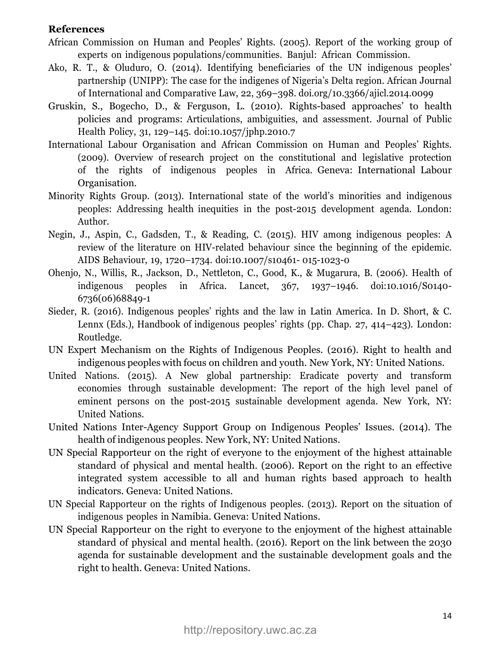#### **References**

- African Commission on Human and Peoples' Rights. (2005). Report of the working group of experts on indigenous populations/communities. Banjul: African Commission.
- Ako, R. T., & Oluduro, O. (2014). Identifying beneficiaries of the UN indigenous peoples' partnership (UNIPP): The case for the indigenes of Nigeria's Delta region. African Journal of International and Comparative Law, 22, 369–398. [doi.org/10.3366/ajicl.2014.0099](https://doi.org/.org/10.3366/ajicl.2014.0099)
- Gruskin, S., Bogecho, D., & Ferguson, L. (2010). Rights-based approaches' to health policies and programs: Articulations, ambiguities, and assessment. Journal of Public Health Policy, 31, 129–145. [doi:10.1057/jphp.2010.7](https://doi.org/10.1057/jphp.2010.7)
- International Labour Organisation and African Commission on Human and Peoples' Rights. (2009). Overview of research project on the constitutional and legislative protection of the rights of indigenous peoples in Africa. Geneva: International Labour Organisation.
- Minority Rights Group. (2013). International state of the world's minorities and indigenous peoples: Addressing health inequities in the post-2015 development agenda. London: Author.
- Negin, J., Aspin, C., Gadsden, T., & Reading, C. (2015). HIV among indigenous peoples: A review of the literature on HIV-related behaviour since the beginning of the epidemic. AIDS Behaviour, 19, 1720–1734. doi:10.1007/s10461- 015-1023-0
- Ohenjo, N., Willis, R., Jackson, D., Nettleton, C., Good, K., & Mugarura, B. (2006). Health of indigenous peoples in Africa. Lancet, 367, 1937–1946. [doi:10.1016/S0140-](https://doi.org/10.1016/S0140-6736(06)68849-1) [6736\(06\)68849-1](https://doi.org/10.1016/S0140-6736(06)68849-1)
- Sieder, R. (2016). Indigenous peoples' rights and the law in Latin America. In D. Short, & C. Lennx (Eds.), Handbook of indigenous peoples' rights (pp. Chap. 27, 414–423). London: Routledge.
- UN Expert Mechanism on the Rights of Indigenous Peoples. (2016). Right to health and indigenous peoples with focus on children and youth. New York, NY: United Nations.
- United Nations. (2015). A New global partnership: Eradicate poverty and transform economies through sustainable development: The report of the high level panel of eminent persons on the post-2015 sustainable development agenda. New York, NY: United Nations.
- United Nations Inter-Agency Support Group on Indigenous Peoples' Issues. (2014). The health of indigenous peoples. New York, NY: United Nations.
- UN Special Rapporteur on the right of everyone to the enjoyment of the highest attainable standard of physical and mental health. (2006). Report on the right to an effective integrated system accessible to all and human rights based approach to health indicators. Geneva: United Nations.
- UN Special Rapporteur on the rights of Indigenous peoples. (2013). Report on the situation of indigenous peoples in Namibia. Geneva: United Nations.
- UN Special Rapporteur on the right to everyone to the enjoyment of the highest attainable standard of physical and mental health. (2016). Report on the link between the 2030 agenda for sustainable development and the sustainable development goals and the right to health. Geneva: United Nations.